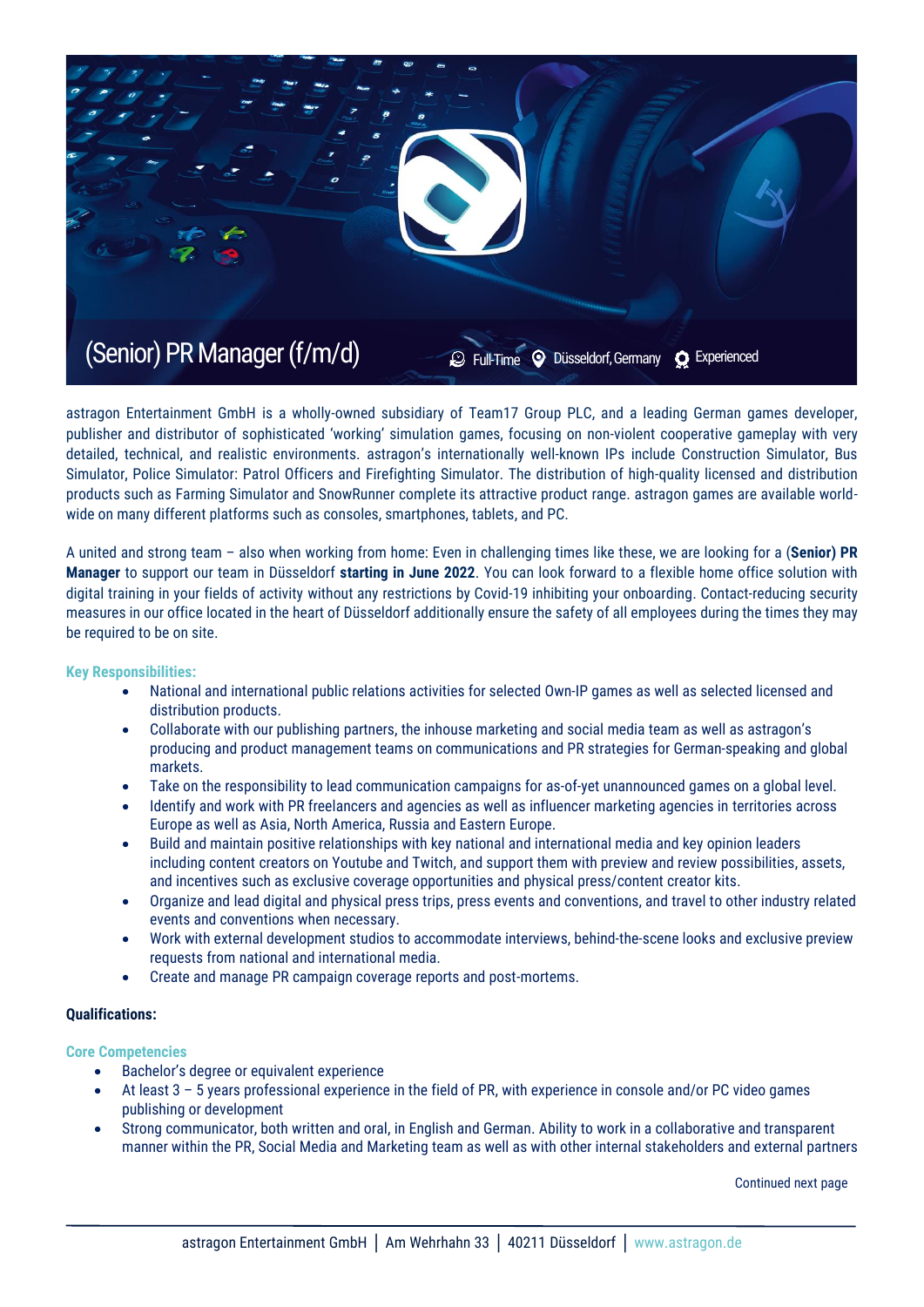

astragon Entertainment GmbH is a wholly-owned subsidiary of Team17 Group PLC, and a leading German games developer, publisher and distributor of sophisticated 'working' simulation games, focusing on non-violent cooperative gameplay with very detailed, technical, and realistic environments. astragon's internationally well-known IPs include Construction Simulator, Bus Simulator, Police Simulator: Patrol Officers and Firefighting Simulator. The distribution of high-quality licensed and distribution products such as Farming Simulator and SnowRunner complete its attractive product range. astragon games are available worldwide on many different platforms such as consoles, smartphones, tablets, and PC.

A united and strong team – also when working from home: Even in challenging times like these, we are looking for a (**Senior) PR Manager** to support our team in Düsseldorf **starting in June 2022**. You can look forward to a flexible home office solution with digital training in your fields of activity without any restrictions by Covid-19 inhibiting your onboarding. Contact-reducing security measures in our office located in the heart of Düsseldorf additionally ensure the safety of all employees during the times they may be required to be on site.

#### **Key Responsibilities:**

- National and international public relations activities for selected Own-IP games as well as selected licensed and distribution products.
- Collaborate with our publishing partners, the inhouse marketing and social media team as well as astragon's producing and product management teams on communications and PR strategies for German-speaking and global markets.
- Take on the responsibility to lead communication campaigns for as-of-yet unannounced games on a global level.
- Identify and work with PR freelancers and agencies as well as influencer marketing agencies in territories across Europe as well as Asia, North America, Russia and Eastern Europe.
- Build and maintain positive relationships with key national and international media and key opinion leaders including content creators on Youtube and Twitch, and support them with preview and review possibilities, assets, and incentives such as exclusive coverage opportunities and physical press/content creator kits.
- Organize and lead digital and physical press trips, press events and conventions, and travel to other industry related events and conventions when necessary.
- Work with external development studios to accommodate interviews, behind-the-scene looks and exclusive preview requests from national and international media.
- Create and manage PR campaign coverage reports and post-mortems.

# **Qualifications:**

### **Core Competencies**

- Bachelor's degree or equivalent experience
- At least 3 5 years professional experience in the field of PR, with experience in console and/or PC video games publishing or development
- Strong communicator, both written and oral, in English and German. Ability to work in a collaborative and transparent manner within the PR, Social Media and Marketing team as well as with other internal stakeholders and external partners

Continued next page